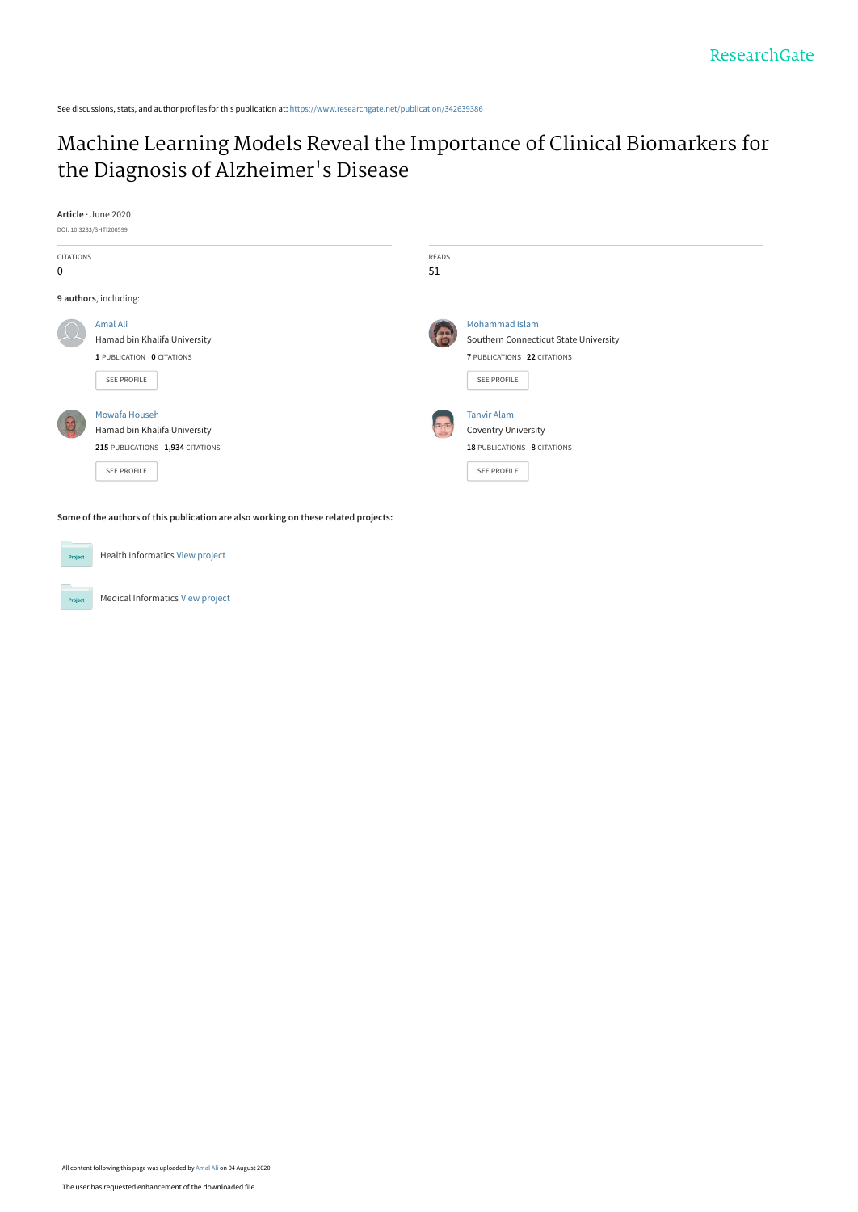See discussions, stats, and author profiles for this publication at: [https://www.researchgate.net/publication/342639386](https://www.researchgate.net/publication/342639386_Machine_Learning_Models_Reveal_the_Importance_of_Clinical_Biomarkers_for_the_Diagnosis_of_Alzheimer%27s_Disease?enrichId=rgreq-e65167e81e55aeb47a0e7c6decce32b7-XXX&enrichSource=Y292ZXJQYWdlOzM0MjYzOTM4NjtBUzo5MjA5NTQxNzE1ODA0MTlAMTU5NjU4Mzk5MzcyNg%3D%3D&el=1_x_2&_esc=publicationCoverPdf)

# [Machine Learning Models Reveal the Importance of Clinical Biomarkers for](https://www.researchgate.net/publication/342639386_Machine_Learning_Models_Reveal_the_Importance_of_Clinical_Biomarkers_for_the_Diagnosis_of_Alzheimer%27s_Disease?enrichId=rgreq-e65167e81e55aeb47a0e7c6decce32b7-XXX&enrichSource=Y292ZXJQYWdlOzM0MjYzOTM4NjtBUzo5MjA5NTQxNzE1ODA0MTlAMTU5NjU4Mzk5MzcyNg%3D%3D&el=1_x_3&_esc=publicationCoverPdf) the Diagnosis of Alzheimer's Disease



**Some of the authors of this publication are also working on these related projects:**

Health Informatics [View project](https://www.researchgate.net/project/Health-Informatics-21?enrichId=rgreq-e65167e81e55aeb47a0e7c6decce32b7-XXX&enrichSource=Y292ZXJQYWdlOzM0MjYzOTM4NjtBUzo5MjA5NTQxNzE1ODA0MTlAMTU5NjU4Mzk5MzcyNg%3D%3D&el=1_x_9&_esc=publicationCoverPdf)  $Prc$ Medical Informatics [View project](https://www.researchgate.net/project/Medical-Informatics-7?enrichId=rgreq-e65167e81e55aeb47a0e7c6decce32b7-XXX&enrichSource=Y292ZXJQYWdlOzM0MjYzOTM4NjtBUzo5MjA5NTQxNzE1ODA0MTlAMTU5NjU4Mzk5MzcyNg%3D%3D&el=1_x_9&_esc=publicationCoverPdf) Project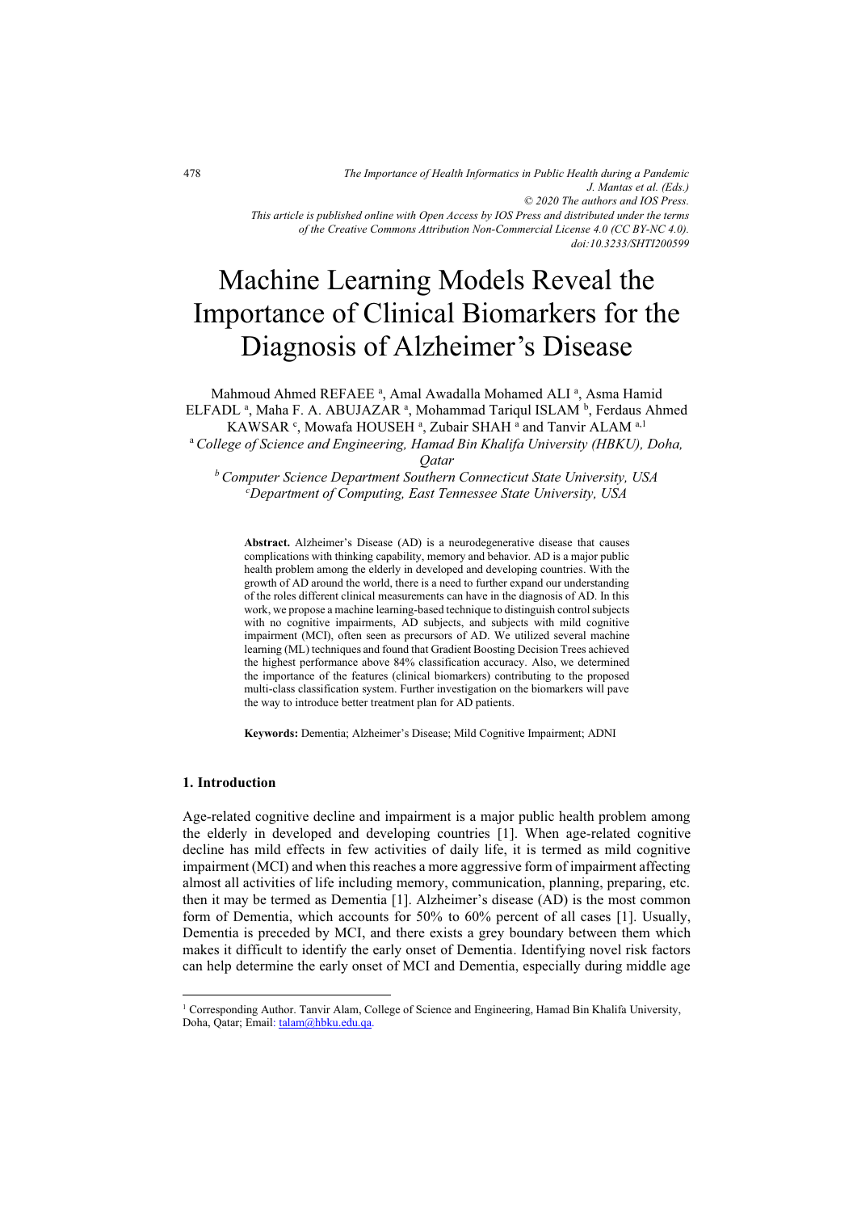*of the Creative Commons Attribution Non-Commercial License 4.0 (CC BY-NC 4.0). doi:10.3233/SHTI200599*

# Machine Learning Models Reveal the Importance of Clinical Biomarkers for the Diagnosis of Alzheimer's Disease

Mahmoud Ahmed REFAEE<sup>a</sup>, Amal Awadalla Mohamed ALI<sup>a</sup>, Asma Hamid ELFADL<sup>a</sup>, Maha F. A. ABUJAZAR<sup>a</sup>, Mohammad Tariqul ISLAM<sup>b</sup>, Ferdaus Ahmed KAWSAR  $\cdot$ , Mowafa HOUSEH  $\cdot$ , Zubair SHAH  $\cdot$  and Tanvir ALAM  $\cdot$ , 1 <sup>a</sup>*College of Science and Engineering, Hamad Bin Khalifa University (HBKU), Doha,* 

*Qatar* 

*b Computer Science Department Southern Connecticut State University, USA c Department of Computing, East Tennessee State University, USA* 

**Abstract.** Alzheimer's Disease (AD) is a neurodegenerative disease that causes complications with thinking capability, memory and behavior. AD is a major public health problem among the elderly in developed and developing countries. With the growth of AD around the world, there is a need to further expand our understanding of the roles different clinical measurements can have in the diagnosis of AD. In this work, we propose a machine learning-based technique to distinguish control subjects with no cognitive impairments, AD subjects, and subjects with mild cognitive impairment (MCI), often seen as precursors of AD. We utilized several machine learning (ML) techniques and found that Gradient Boosting Decision Trees achieved the highest performance above 84% classification accuracy. Also, we determined the importance of the features (clinical biomarkers) contributing to the proposed multi-class classification system. Further investigation on the biomarkers will pave the way to introduce better treatment plan for AD patients.

**Keywords:** Dementia; Alzheimer's Disease; Mild Cognitive Impairment; ADNI

## **1. Introduction**

Age-related cognitive decline and impairment is a major public health problem among the elderly in developed and developing countries [1]. When age-related cognitive decline has mild effects in few activities of daily life, it is termed as mild cognitive impairment (MCI) and when this reaches a more aggressive form of impairment affecting almost all activities of life including memory, communication, planning, preparing, etc. then it may be termed as Dementia [1]. Alzheimer's disease (AD) is the most common form of Dementia, which accounts for 50% to 60% percent of all cases [1]. Usually, Dementia is preceded by MCI, and there exists a grey boundary between them which makes it difficult to identify the early onset of Dementia. Identifying novel risk factors can help determine the early onset of MCI and Dementia, especially during middle age

<sup>&</sup>lt;sup>1</sup> Corresponding Author. Tanvir Alam, College of Science and Engineering, Hamad Bin Khalifa University, Doha, Qatar; Email[: talam@hbku.edu.qa.](mailto:talam@hbku.edu.qa)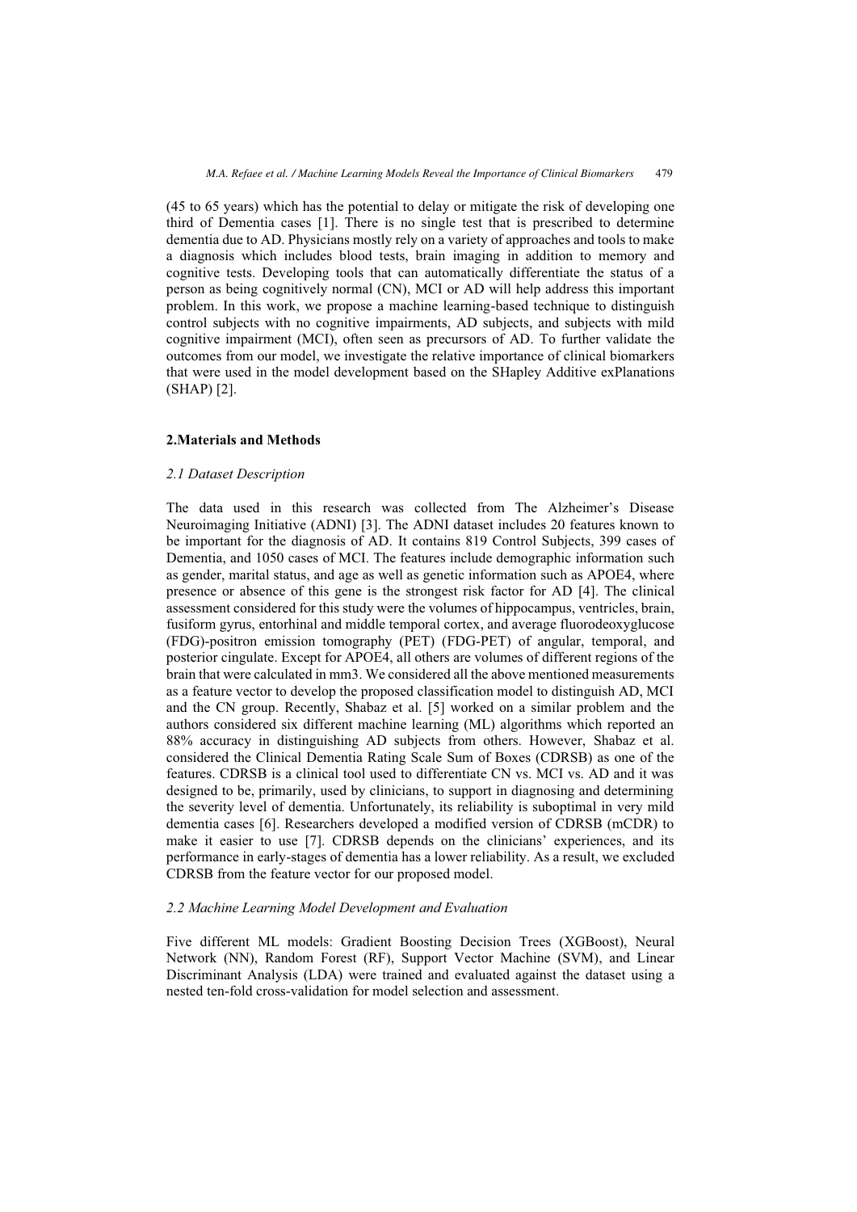(45 to 65 years) which has the potential to delay or mitigate the risk of developing one third of Dementia cases [1]. There is no single test that is prescribed to determine dementia due to AD. Physicians mostly rely on a variety of approaches and tools to make a diagnosis which includes blood tests, brain imaging in addition to memory and cognitive tests. Developing tools that can automatically differentiate the status of a person as being cognitively normal (CN), MCI or AD will help address this important problem. In this work, we propose a machine learning-based technique to distinguish control subjects with no cognitive impairments, AD subjects, and subjects with mild cognitive impairment (MCI), often seen as precursors of AD. To further validate the outcomes from our model, we investigate the relative importance of clinical biomarkers that were used in the model development based on the SHapley Additive exPlanations (SHAP) [2].

#### **2.Materials and Methods**

#### *2.1 Dataset Description*

The data used in this research was collected from The Alzheimer's Disease Neuroimaging Initiative (ADNI) [3]. The ADNI dataset includes 20 features known to be important for the diagnosis of AD. It contains 819 Control Subjects, 399 cases of Dementia, and 1050 cases of MCI. The features include demographic information such as gender, marital status, and age as well as genetic information such as APOE4, where presence or absence of this gene is the strongest risk factor for AD [4]. The clinical assessment considered for this study were the volumes of hippocampus, ventricles, brain, fusiform gyrus, entorhinal and middle temporal cortex, and average fluorodeoxyglucose (FDG)-positron emission tomography (PET) (FDG-PET) of angular, temporal, and posterior cingulate. Except for APOE4, all others are volumes of different regions of the brain that were calculated in mm3. We considered all the above mentioned measurements as a feature vector to develop the proposed classification model to distinguish AD, MCI and the CN group. Recently, Shabaz et al. [5] worked on a similar problem and the authors considered six different machine learning (ML) algorithms which reported an 88% accuracy in distinguishing AD subjects from others. However, Shabaz et al. considered the Clinical Dementia Rating Scale Sum of Boxes (CDRSB) as one of the features. CDRSB is a clinical tool used to differentiate CN vs. MCI vs. AD and it was designed to be, primarily, used by clinicians, to support in diagnosing and determining the severity level of dementia. Unfortunately, its reliability is suboptimal in very mild dementia cases [6]. Researchers developed a modified version of CDRSB (mCDR) to make it easier to use [7]. CDRSB depends on the clinicians' experiences, and its performance in early-stages of dementia has a lower reliability. As a result, we excluded CDRSB from the feature vector for our proposed model.

#### *2.2 Machine Learning Model Development and Evaluation*

Five different ML models: Gradient Boosting Decision Trees (XGBoost), Neural Network (NN), Random Forest (RF), Support Vector Machine (SVM), and Linear Discriminant Analysis (LDA) were trained and evaluated against the dataset using a nested ten-fold cross-validation for model selection and assessment.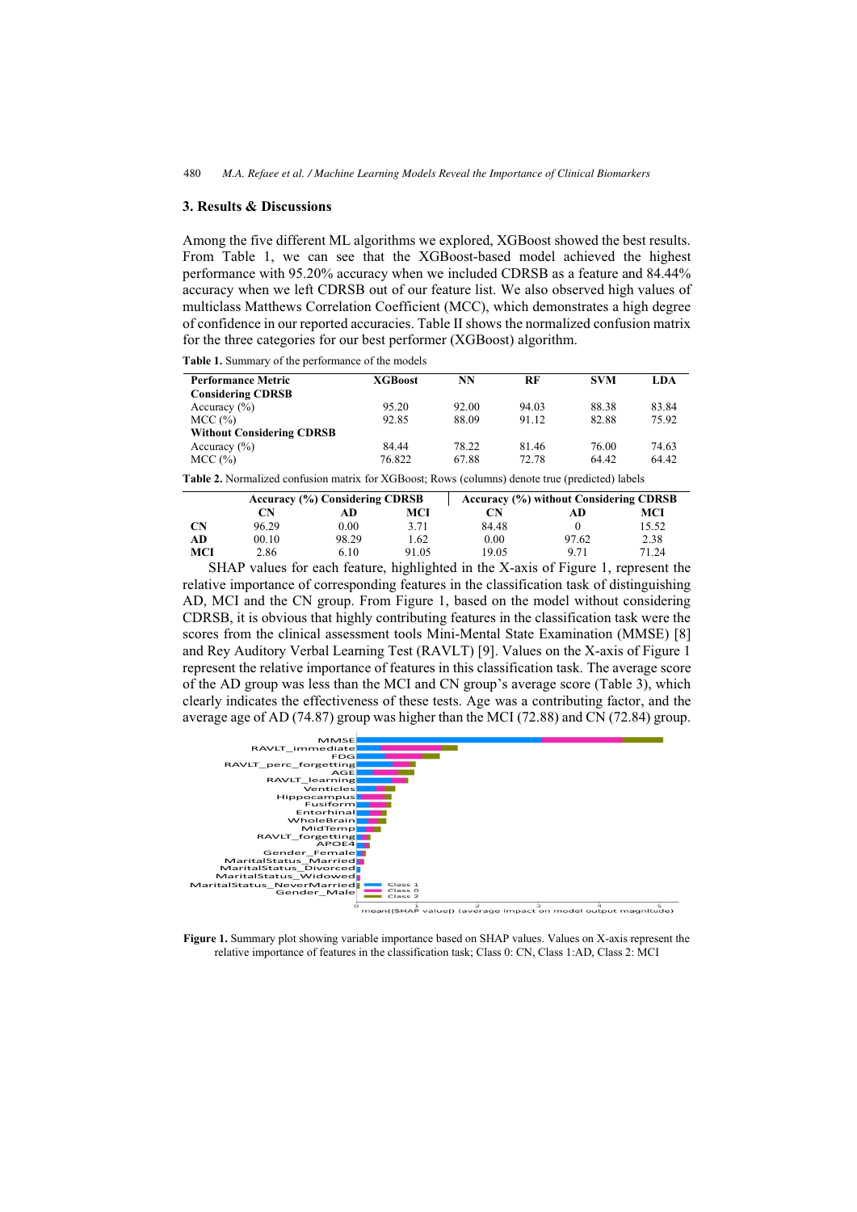# **3. Results & Discussions**

Among the five different ML algorithms we explored, XGBoost showed the best results. From Table 1, we can see that the XGBoost-based model achieved the highest performance with 95.20% accuracy when we included CDRSB as a feature and 84.44% accuracy when we left CDRSB out of our feature list. We also observed high values of multiclass Matthews Correlation Coefficient (MCC), which demonstrates a high degree of confidence in our reported accuracies. Table II shows the normalized confusion matrix for the three categories for our best performer (XGBoost) algorithm.

| <b>Performance Metric</b>        | <b>XGBoost</b>                                                       | NN    | RF    | <b>SVM</b> | LDA   |
|----------------------------------|----------------------------------------------------------------------|-------|-------|------------|-------|
| <b>Considering CDRSB</b>         |                                                                      |       |       |            |       |
| Accuracy $(\% )$                 | 95.20                                                                | 92.00 | 94.03 | 88.38      | 83.84 |
| MCC (%)                          | 92.85                                                                | 88.09 | 91.12 | 82.88      | 75.92 |
| <b>Without Considering CDRSB</b> |                                                                      |       |       |            |       |
| Accuracy $(\% )$                 | 84.44                                                                | 78.22 | 81.46 | 76.00      | 74.63 |
| MCC (%)                          | 76.822                                                               | 67.88 | 72.78 | 64.42      | 64.42 |
| ------<br>$\cdots$               | $\alpha$ , and $\alpha$ , and $\alpha$ , and $\alpha$ , and $\alpha$ |       |       |            |       |

**Table 1.** Summary of the performance of the models

**Table 2.** Normalized confusion matrix for XGBoost; Rows (columns) denote true (predicted) labels

|           | Accuracy (%) Considering CDRSB |       |       | Accuracy (%) without Considering CDRSB |       |       |  |
|-----------|--------------------------------|-------|-------|----------------------------------------|-------|-------|--|
|           | CN                             | AD    | MCI   | CN                                     | AD    | MCI   |  |
| <b>CN</b> | 96.29                          | 0.00  | 3.71  | 84.48                                  |       | 15.52 |  |
| AD        | 00.10                          | 98.29 | 1.62  | 0.00                                   | 97.62 | 2.38  |  |
| MCI       | 2.86                           | 6.10  | 91.05 | 19.05                                  | 9 7 1 | 71.24 |  |

SHAP values for each feature, highlighted in the X-axis of Figure 1, represent the relative importance of corresponding features in the classification task of distinguishing AD, MCI and the CN group. From Figure 1, based on the model without considering CDRSB, it is obvious that highly contributing features in the classification task were the scores from the clinical assessment tools Mini-Mental State Examination (MMSE) [8] and Rey Auditory Verbal Learning Test (RAVLT) [9]. Values on the X-axis of Figure 1 represent the relative importance of features in this classification task. The average score of the AD group was less than the MCI and CN group's average score (Table 3), which clearly indicates the effectiveness of these tests. Age was a contributing factor, and the average age of AD (74.87) group was higher than the MCI (72.88) and CN (72.84) group.



 $\frac{1}{2}$  mean(|SHAP value|) (average impact on model output magnitude)

**Figure 1.** Summary plot showing variable importance based on SHAP values. Values on X-axis represent the relative importance of features in the classification task; Class 0: CN, Class 1:AD, Class 2: MCI